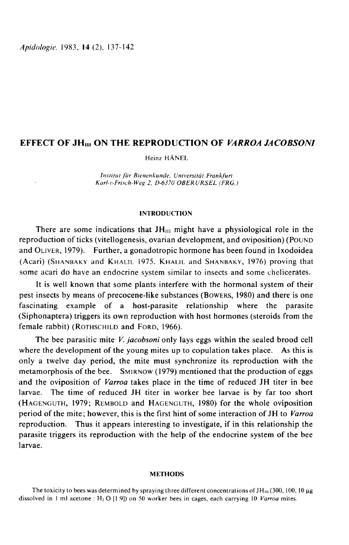Apidologie, 1983, 14 (2), 137-142

# EFFECT OF JH<sub>III</sub> ON THE REPRODUCTION OF *VARROA JACOBSONI*

Heinz HÄNEL

Institut für Bienenkunde. Universität Frankfurt Karl-v-Frisch-Weg 2, D-6370 OBERURSEL (FRG.)

## INTRODUCTION

There are some indications that  $JH_{III}$  might have a physiological role in the reproduction of ticks (vitellogenesis, ovarian development, and oviposition) (POUND and OLIVER, 1979). Further, a gonadotropic hormone has been found in Ixodoidea There are some indications that  $JH_{III}$  might have a physiological role in the<br>reproduction of ticks (vitellogenesis, ovarian development, and oviposition) (POUND<br>and OLIVER, 1979). Further, a gonadotropic hormone has bee some acari do have an endocrine system similar to insects and some chelicerates.

It is well known that some plants interfere with the hormonal system of their pest insects by means of precocene-like substances (BOWERS, 1980) and there is one fascinating example of a host-parasite relationship where the parasite (Siphonaptera) triggers its own reproduction with host hormones (steroids from the fascinating example of a host-parasite<br>(Siphonaptera) triggers its own reproduction v<br>female rabbit) (ROTHSCHILD and FORD, 1966).

The bee parasitic mite *V. jacobsoni* only lays eggs within the sealed brood cell where the development of the young mites up to copulation takes place. As this is only a twelve day period, the mite must synchronize its reproduction with the The bee parasitic mite *V. jacobsoni* only lays eggs within the sealed brood cell<br>where the development of the young mites up to copulation takes place. As this is<br>only a twelve day period, the mite must synchronize its re and the oviposition of Varroa takes place in the time of reduced JH titer in bee larvae. The time of reduced JH titer in worker bee larvae is by far too short Where the development of the young mites up to copulation takes place. As this is<br>only a twelve day period, the mite must synchronize its reproduction with the<br>metamorphosis of the bee. SMIRNOW (1979) mentioned that the pr period of the mite; however, this is the first hint of some interaction of JH to Varroa reproduction. Thus it appears interesting to investigate, if in this relationship the parasite triggers its reproduction with the help of the endocrine system of the bee larvae.

#### **METHODS**

The toxicity to bees was determined by spraying three different concentrations of  $JH<sub>III</sub>$  (300, 100, 10  $\mu$ g dissolved in 1 ml acetone : H<sub>2</sub> O [1:9]) on 50 worker bees in cages, each carrying 10 Varroa mites.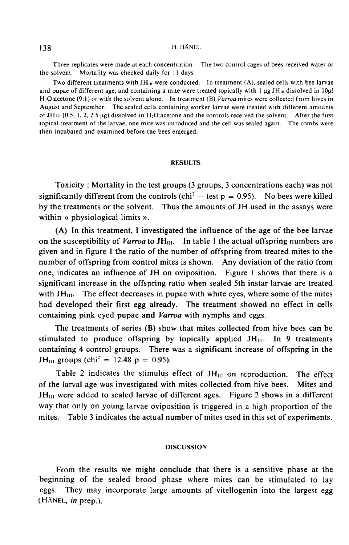### H. HÄNEL

Three replicates were made at each concentration. The two control cages of bees received water or the solvent. Mortality was checked daily for 11 days.

Two different treatments with  $JH_{III}$  were conducted. In treatment  $(A)$ , sealed cells with bee larvae and Three ru<br>the solvent.<br>Two dif<br>and pupae o<br>H<sub>2</sub>O:acetone<br>August and 9 pupae of different age, and containing a mite were treated topically with 1  $\mu$ g JH $_{\text{III}}$  dissolved in 10 $\mu$ l  $H<sub>2</sub>O$ :acetone (9:1) or with the solvent alone. In treatment (B) Varroa mites were collected from hives in August and September. The sealed cells containing worker larvae were treated with different amounts of JHIII  $(0.5, 1, 2, 2.5 \mu g)$  dissolved in H<sub>2</sub>O acetone and the controls received the solvent. After the first The solvent. Mortality was checked daily for 11 days.<br>Two different treatments with  $JH_{III}$  were conducted. In treatment (A), sealed cells with bee larvae<br>and pupae of different age, and containing a mite were treated top topical treatment of the larvae, one mite was introduced and the cell was sealed again. The combs were then incubated and examined before the bees emerged.

# **RESULTS**

Toxicity : Mortality in the test groups (3 groups, 3 concentrations each) was not significantly different from the controls (chi<sup>2</sup> - test  $p = 0.95$ ). No bees were killed by the treatments or the solvent. Thus the amounts of JH used in the assays were within « physiological limits ».

(A) In this treatment, I investigated the influence of the age of the bee larvae on the susceptibility of *Varroa* to JH $_{\text{III}}$ . In table 1 the actual offspring numbers are given and in figure I the ratio of the number of offspring from treated mites to the number of offspring from control mites is shown. Any deviation of the ratio from one, indicates an influence of JH on oviposition. Figure I shows that there is a significant increase in the offspring ratio when sealed 5th instar larvae are treated with  $JH_{III}$ . The effect decreases in pupae with white eyes, where some of the mites had developed their first egg already. The treatment showed no effect in cells containing pink eyed pupae and Varroa with nymphs and eggs.

The treatments of series (B) show that mites collected from hive bees can be stimulated to produce offspring by topically applied  $JH_{III}$ . In 9 treatments containing 4 control groups. There was a significant increase of offspring in the stimulated to produce offspring b<br>containing 4 control groups. There<br>JH<sub>III</sub> groups (chi<sup>2</sup> = 12.48 p = 0.95).

JH<sub>III</sub> groups (chi<sup>2</sup> = 12.48 p = 0.95).<br>Table 2 indicates the stimulus effect of JH<sub>III</sub> on reproduction. The effect of the larval age was investigated with mites collected from hive bees. Mites and of the larval age was investigated with mites collected from hive bees.  $JH<sub>III</sub>$  were added to sealed larvae of different ages. Figure 2 shows in a different way that only on young larvae oviposition is triggered in a high proportion of the mites. Table 3 indicates the actual number of mites used in this set of experiments.

### **DISCUSSION**

From the results we might conclude that there is a sensitive phase at the beginning of the sealed brood phase where mites can be stimulated to lay eggs. They may incorporate large amounts of vitellogenin into the largest egg From the re<br>beginning of the<br>eggs. They may<br>(HÄNEL, *in* prep.).

# 138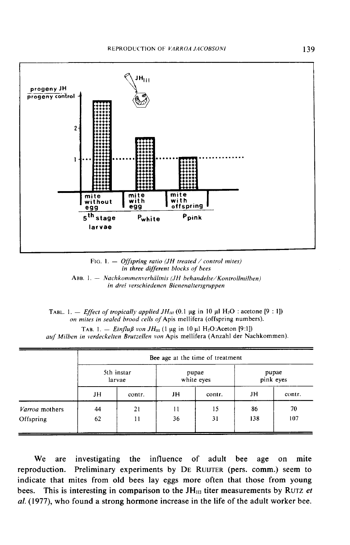



ABB. 1. - Nachkommenverhältnis (JH behandelte/Kontrollmilben) in drei verschiedenen Bienenaltersgruppen

|  | TABL. 1. – <i>Effect of tropically applied JH<sub>III</sub></i> (0.1 µg in 10 µl H <sub>2</sub> O : acetone [9 : 1]) |  |  |
|--|----------------------------------------------------------------------------------------------------------------------|--|--|
|  | on mites in sealed brood cells of Apis mellifera (offspring numbers).                                                |  |  |

TAB. 1. - *Einfluß von JH*<sub>III</sub> (1 µg in 10 µl H<sub>2</sub>O:Aceton [9:1])

auf Milben in verdeckelten Brutzellen von Apis mellifera (Anzahl der Nachkommen).

|                | Bee age at the time of treatment |        |            |        |           |        |
|----------------|----------------------------------|--------|------------|--------|-----------|--------|
|                | 5th instar                       |        | pupae      |        | pupae     |        |
|                | larvae                           |        | white eyes |        | pink eyes |        |
|                | JH                               | contr. | JH         | contr. | JH        | contr. |
| Varroa mothers | 44                               | 21     | 11         | 15     | 86        | 70     |
| Offspring      | 62                               | 11     | 36         | 31     | 138       | 107    |

We are investigating the influence of adult bee age on mite Preliminary experiments by DE RUIJTER (pers. comm.) seem to reproduction. indicate that mites from old bees lay eggs more often that those from young bees. This is interesting in comparison to the  $JH<sub>III</sub>$  titer measurements by RUTZ et al. (1977), who found a strong hormone increase in the life of the adult worker bee.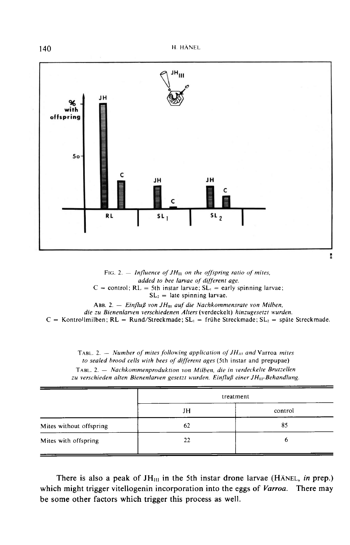

FIG. 2.  $-$  Influence of JH<sub>III</sub> on the offspring ratio of mites, added to bee larvae of different age.  $C =$  control;  $RL = 5$ th instar larvae;  $SL_1 =$  early spinning larvae;  $SL<sub>2</sub>$  = late spinning larvae.

ABB. 2. - Einfluß von JH<sub>III</sub> auf die Nachkommensrate von Milben, die zu Bienenlarven verschiedenen Alters (verdeckelt) hinzugesetzt wurden.  $C =$  Kontrollmilben; RL = Rund/Streckmade; SL<sub>1</sub> = frühe Streckmade; SL<sub>2</sub> = späte Streckmade.

TABL, 2. – Number of mites following application of  $JH_{III}$  and Varroa mites to sealed brood cells with bees of different ages (5th instar and prepupae) TABL. 2. - Nachkommenproduktion von Milben, die in verdeckelte Brutzellen zu verschieden alten Bienenlarven gesetzt wurden. Einfluß einer JH<sub>III</sub>-Behandlung.

|                         |    | treatment |
|-------------------------|----|-----------|
|                         | JH | control   |
| Mites without offspring | 62 | 85        |
| Mites with offspring    | 22 | O         |

There is also a peak of  $JH<sub>III</sub>$  in the 5th instar drone larvae (HÄNEL, in prep.) which might trigger vitellogenin incorporation into the eggs of Varroa. There may be some other factors which trigger this process as well.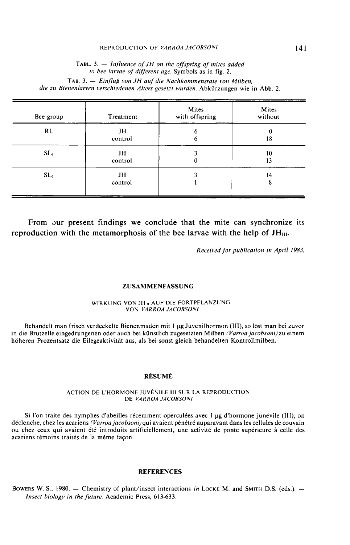### REPRODUCTION OF VARROA JACOBSONI

TABL. 3.  $-$  Influence of JH on the offspring of mites added to bee larvae of different age. Symbols as in fig. 2. TAB. 3. - Einfluß von JH auf die Nachkommensrate von Milben, die zu Bienenlarven verschiedenen Alters gesetzt wurden. Abkürzungen wie in Abb. 2.

| Bee group       | Treatment     | Mites<br>with offspring | Mites<br>without |
|-----------------|---------------|-------------------------|------------------|
| RL              | JH<br>control | 6<br>6                  | 18               |
| SL <sub>1</sub> | JH<br>control | 0                       | 10<br>13         |
| SL <sub>2</sub> | JH<br>control |                         | 14<br>8          |

From our present findings we conclude that the mite can synchronize its reproduction with the metamorphosis of the bee larvae with the help of  $JH<sub>III</sub>$ .

Received for publication in April 1983.

#### ZUSAMMENFASSUNG

### WIRKUNG VON JH<sub>III</sub> AUF DIE FORTPFLANZUNG VON VARROA JACOBSONI

Behandelt man frisch verdeckelte Bienenmaden mit 1 µg Juvenilhormon (III), so löst man bei zuvor in die Brutzelle eingedrungenen oder auch bei künstlich zugesetzten Milben (Varroa jacobsoni) zu einem höheren Prozentsatz die Eilegeaktivität aus, als bei sonst gleich behandelten Kontrollmilben.

#### RÉSUMÉ

#### ACTION DE L'HORMONE JUVÉNILE 111 SUR LA REPRODUCTION DE VARROA JACOBSONI

Si l'on traite des nymphes d'abeilles récemment operculées avec 1 µg d'hormone junévile (III), on déclenche, chez les acariens (Varroa jacobsoni) qui avaient pénétré auparavant dans les cellules de couvain ou chez ceux qui avaient été introduits artificiellement, une activité de ponte supérieure à celle des acariens témoins traités de la même façon.

# **REFERENCES**

BOWERS W. S., 1980. - Chemistry of plant/insect interactions in LOCKE M. and SMITH D.S. (eds.). -Insect biology in the future. Academic Press, 613-633.